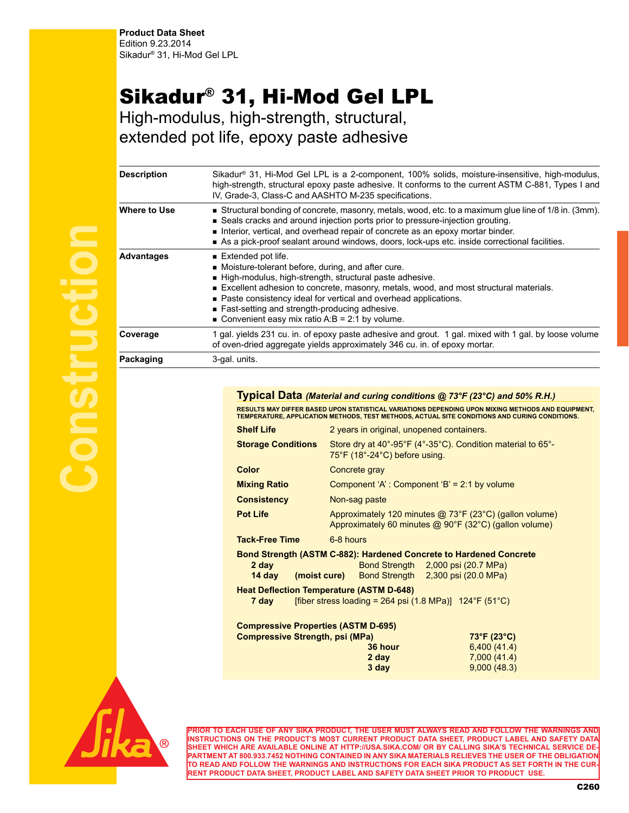## Sikadur® 31, Hi-Mod Gel LPL

High-modulus, high-strength, structural, extended pot life, epoxy paste adhesive

| <b>Description</b> | Sikadur® 31, Hi-Mod Gel LPL is a 2-component, 100% solids, moisture-insensitive, high-modulus,<br>high-strength, structural epoxy paste adhesive. It conforms to the current ASTM C-881, Types I and<br>IV, Grade-3, Class-C and AASHTO M-235 specifications.                                                                                                                                                            |
|--------------------|--------------------------------------------------------------------------------------------------------------------------------------------------------------------------------------------------------------------------------------------------------------------------------------------------------------------------------------------------------------------------------------------------------------------------|
| Where to Use       | ■ Structural bonding of concrete, masonry, metals, wood, etc. to a maximum glue line of 1/8 in. (3mm).<br>■ Seals cracks and around injection ports prior to pressure-injection grouting.<br>Interior, vertical, and overhead repair of concrete as an epoxy mortar binder.<br>As a pick-proof sealant around windows, doors, lock-ups etc. inside correctional facilities.                                              |
| <b>Advantages</b>  | $\blacksquare$ Extended pot life.<br>• Moisture-tolerant before, during, and after cure.<br>High-modulus, high-strength, structural paste adhesive.<br>Excellent adhesion to concrete, masonry, metals, wood, and most structural materials.<br>■ Paste consistency ideal for vertical and overhead applications.<br>■ Fast-setting and strength-producing adhesive.<br>■ Convenient easy mix ratio A:B = 2:1 by volume. |
| Coverage           | 1 gal. yields 231 cu. in. of epoxy paste adhesive and grout. 1 gal. mixed with 1 gal. by loose volume<br>of oven-dried aggregate yields approximately 346 cu. in. of epoxy mortar.                                                                                                                                                                                                                                       |
| Packaging          | 3-gal. units.                                                                                                                                                                                                                                                                                                                                                                                                            |

**Typical Data** *(Material and curing conditions @ 73°F (23°C) and 50% R.H.)* **RESULTS MAY DIFFER BASED UPON STATISTICAL VARIATIONS DEPENDING UPON MIXING METHODS AND EQUIPMENT, TEMPERATURE, APPLICATION METHODS, TEST METHODS, ACTUAL SITE CONDITIONS AND CURING CONDITIONS. Shelf Life** 2 years in original, unopened containers. **Storage Conditions** Store dry at 40°-95°F (4°-35°C). Condition material to 65°- 75°F (18°-24°C) before using. **Color** Concrete gray **Mixing Ratio Component 'A': Component 'B' = 2:1 by volume Consistency** Non-sag paste **Pot Life** Approximately 120 minutes @ 73°F (23°C) (gallon volume) Approximately 60 minutes @ 90°F (32°C) (gallon volume) **Tack-Free Time** 6-8 hours **Bond Strength (ASTM C-882): Hardened Concrete to Hardened Concrete 2 day** Bond Strength 2,000 psi (20.7 MPa) **14 day (moist cure)** Bond Strength 2,300 psi (20.0 MPa) **Heat Deflection Temperature (ASTM D-648) 7 day** [fiber stress loading =  $264$  psi  $(1.8 \text{ MPa})$ ]  $124^{\circ}F (51^{\circ}C)$ **Compressive Properties (ASTM D-695) Compressive Strength, psi (MPa) 73°F (23°C) 36 hour** 6,400 (41.4) **2 day** 7,000 (41.4) **3 day** 9,000 (48.3)



**PRIOR TO EACH USE OF ANY SIKA PRODUCT, THE USER MUST ALWAYS READ AND FOLLOW THE WARNINGS AND INSTRUCTIONS ON THE PRODUCT'S MOST CURRENT PRODUCT DATA SHEET, PRODUCT LABEL AND SAFETY DATA SHEET WHICH ARE AVAILABLE ONLINE AT HTTP://USA.SIKA.COM/ OR BY CALLING SIKA'S TECHNICAL SERVICE DE-PARTMENT AT 800.933.7452 NOTHING CONTAINED IN ANY SIKA MATERIALS RELIEVES THE USER OF THE OBLIGATION TO READ AND FOLLOW THE WARNINGS AND INSTRUCTIONS FOR EACH SIKA PRODUCT AS SET FORTH IN THE CUR-RENT PRODUCT DATA SHEET, PRODUCT LABEL AND SAFETY DATA SHEET PRIOR TO PRODUCT USE.**